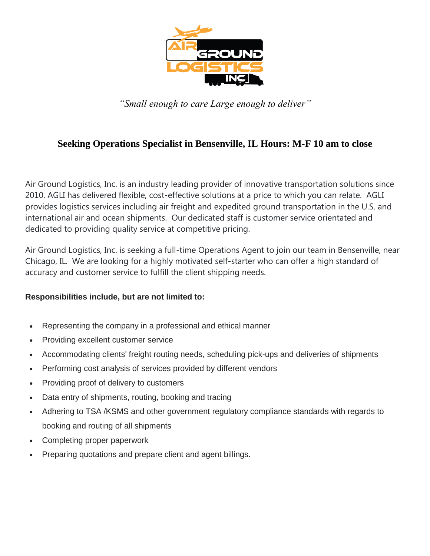

*"Small enough to care Large enough to deliver"*

# **Seeking Operations Specialist in Bensenville, IL Hours: M-F 10 am to close**

Air Ground Logistics, Inc. is an industry leading provider of innovative transportation solutions since 2010. AGLI has delivered flexible, cost-effective solutions at a price to which you can relate. AGLI provides logistics services including air freight and expedited ground transportation in the U.S. and international air and ocean shipments. Our dedicated staff is customer service orientated and dedicated to providing quality service at competitive pricing.

Air Ground Logistics, Inc. is seeking a full-time Operations Agent to join our team in Bensenville, near Chicago, IL. We are looking for a highly motivated self-starter who can offer a high standard of accuracy and customer service to fulfill the client shipping needs.

### **Responsibilities include, but are not limited to:**

- Representing the company in a professional and ethical manner
- Providing excellent customer service
- Accommodating clients' freight routing needs, scheduling pick-ups and deliveries of shipments
- Performing cost analysis of services provided by different vendors
- Providing proof of delivery to customers
- Data entry of shipments, routing, booking and tracing
- Adhering to TSA /KSMS and other government regulatory compliance standards with regards to booking and routing of all shipments
- Completing proper paperwork
- Preparing quotations and prepare client and agent billings.